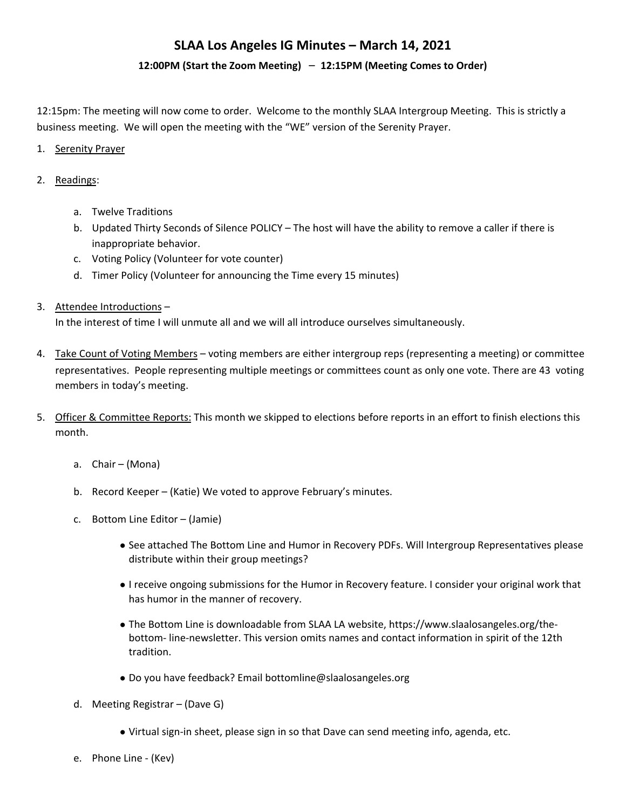### 12:00PM (Start the Zoom Meeting) - 12:15PM (Meeting Comes to Order)

12:15pm: The meeting will now come to order. Welcome to the monthly SLAA Intergroup Meeting. This is strictly a business meeting. We will open the meeting with the "WE" version of the Serenity Prayer.

#### 1. Serenity Prayer

#### 2. Readings:

- a. Twelve Traditions
- b. Updated Thirty Seconds of Silence POLICY The host will have the ability to remove a caller if there is inappropriate behavior.
- c. Voting Policy (Volunteer for vote counter)
- d. Timer Policy (Volunteer for announcing the Time every 15 minutes)
- 3. Attendee Introductions  $-$

In the interest of time I will unmute all and we will all introduce ourselves simultaneously.

- 4. Take Count of Voting Members voting members are either intergroup reps (representing a meeting) or committee representatives. People representing multiple meetings or committees count as only one vote. There are 43 voting members in today's meeting.
- 5. Officer & Committee Reports: This month we skipped to elections before reports in an effort to finish elections this month.
	- a.  $Chair (Mona)$
	- b. Record Keeper (Katie) We voted to approve February's minutes.
	- c. Bottom Line Editor  $-$  (Jamie)
		- See attached The Bottom Line and Humor in Recovery PDFs. Will Intergroup Representatives please distribute within their group meetings?
		- I receive ongoing submissions for the Humor in Recovery feature. I consider your original work that has humor in the manner of recovery.
		- The Bottom Line is downloadable from SLAA LA website, https://www.slaalosangeles.org/thebottom- line-newsletter. This version omits names and contact information in spirit of the 12th tradition.
		- Do you have feedback? Email bottomline@slaalosangeles.org
	- d. Meeting Registrar  $-$  (Dave G)
		- Virtual sign-in sheet, please sign in so that Dave can send meeting info, agenda, etc.
	- e. Phone Line (Kev)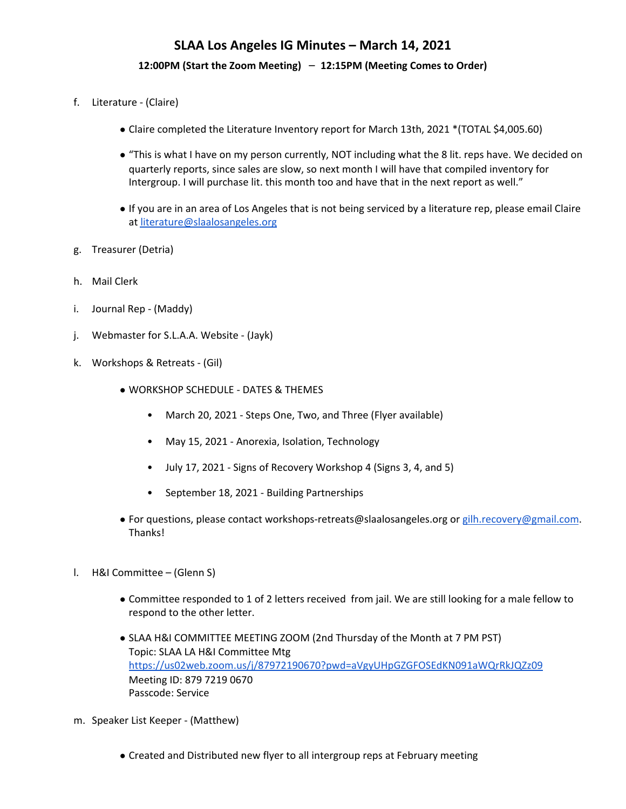#### 12:00PM (Start the Zoom Meeting) - 12:15PM (Meeting Comes to Order)

- f. Literature (Claire)
	- Claire completed the Literature Inventory report for March 13th, 2021 \*(TOTAL \$4,005.60)
	- "This is what I have on my person currently, NOT including what the 8 lit. reps have. We decided on quarterly reports, since sales are slow, so next month I will have that compiled inventory for Intergroup. I will purchase lit. this month too and have that in the next report as well."
	- If you are in an area of Los Angeles that is not being serviced by a literature rep, please email Claire at literature@slaalosangeles.org
- g. Treasurer (Detria)
- h. Mail Clerk
- i. Journal Rep (Maddy)
- j. Webmaster for S.L.A.A. Website (Jayk)
- k. Workshops & Retreats (Gil)
	- WORKSHOP SCHEDULE DATES & THEMES
		- March 20, 2021 Steps One, Two, and Three (Flyer available)
		- May 15, 2021 Anorexia, Isolation, Technology
		- July 17, 2021 Signs of Recovery Workshop 4 (Signs 3, 4, and 5)
		- September 18, 2021 Building Partnerships
	- For questions, please contact workshops-retreats@slaalosangeles.org or gilh.recovery@gmail.com. Thanks!
- l. H&I Committee (Glenn S)
	- Committee responded to 1 of 2 letters received from jail. We are still looking for a male fellow to respond to the other letter.
	- SLAA H&I COMMITTEE MEETING ZOOM (2nd Thursday of the Month at 7 PM PST) Topic: SLAA LA H&I Committee Mtg https://us02web.zoom.us/j/87972190670?pwd=aVgyUHpGZGFOSEdKN091aWQrRkJQZz09 Meeting ID: 879 7219 0670 Passcode: Service
- m. Speaker List Keeper (Matthew)
	- Created and Distributed new flyer to all intergroup reps at February meeting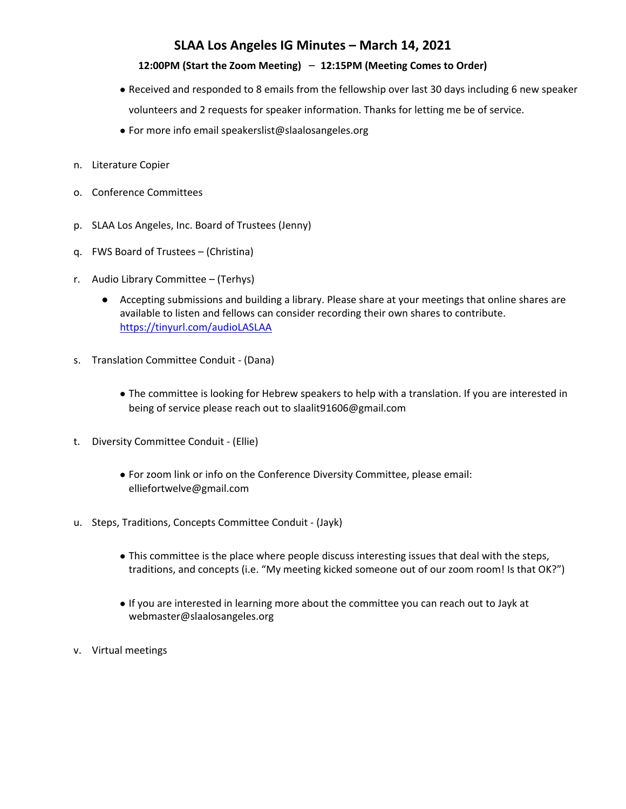### 12:00PM (Start the Zoom Meeting) - 12:15PM (Meeting Comes to Order)

- Received and responded to 8 emails from the fellowship over last 30 days including 6 new speaker volunteers and 2 requests for speaker information. Thanks for letting me be of service.
- $\bullet$  For more info email speakerslist@slaalosangeles.org
- n. Literature Copier
- o. Conference Committees
- p. SLAA Los Angeles, Inc. Board of Trustees (Jenny)
- q. FWS Board of Trustees (Christina)
- r. Audio Library Committee (Terhys)
	- Accepting submissions and building a library. Please share at your meetings that online shares are available to listen and fellows can consider recording their own shares to contribute. https://tinyurl.com/audioLASLAA
- s. Translation Committee Conduit (Dana)
	- The committee is looking for Hebrew speakers to help with a translation. If you are interested in being of service please reach out to slaalit91606@gmail.com
- t. Diversity Committee Conduit (Ellie)
	- For zoom link or info on the Conference Diversity Committee, please email: elliefortwelve@gmail.com
- u. Steps, Traditions, Concepts Committee Conduit (Jayk)
	- This committee is the place where people discuss interesting issues that deal with the steps, traditions, and concepts (i.e. "My meeting kicked someone out of our zoom room! Is that OK?")
	- If you are interested in learning more about the committee you can reach out to Jayk at webmaster@slaalosangeles.org
- v. Virtual meetings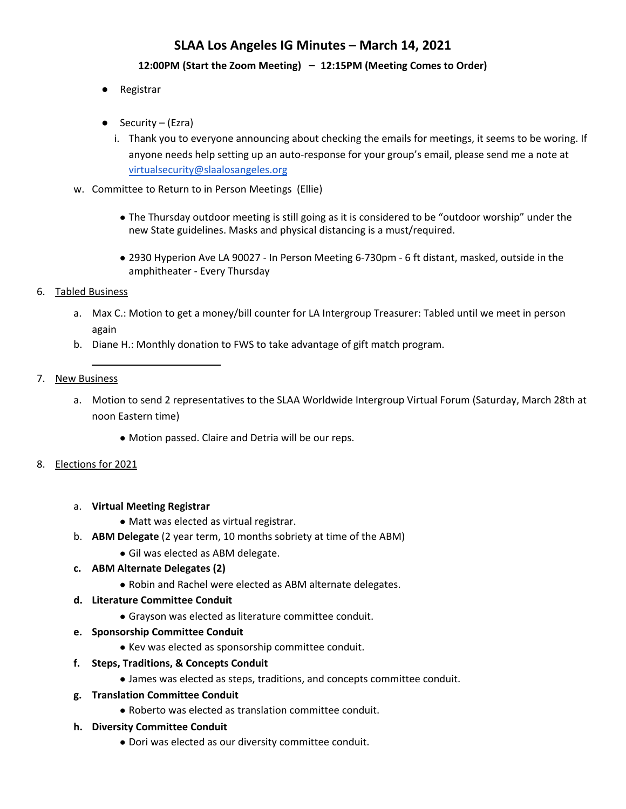### 12:00PM (Start the Zoom Meeting) - 12:15PM (Meeting Comes to Order)

- Registrar
- $\bullet$  Security (Ezra)
	- i. Thank you to everyone announcing about checking the emails for meetings, it seems to be woring. If anyone needs help setting up an auto-response for your group's email, please send me a note at virtualsecurity@slaalosangeles.org
- w. Committee to Return to in Person Meetings (Ellie)
	- The Thursday outdoor meeting is still going as it is considered to be "outdoor worship" under the new State guidelines. Masks and physical distancing is a must/required.
	- 2930 Hyperion Ave LA 90027 In Person Meeting 6-730pm 6 ft distant, masked, outside in the amphitheater - Every Thursday

### 6. Tabled Business

- a. Max C.: Motion to get a money/bill counter for LA Intergroup Treasurer: Tabled until we meet in person again
- b. Diane H.: Monthly donation to FWS to take advantage of gift match program.

### 7. New Business

- a. Motion to send 2 representatives to the SLAA Worldwide Intergroup Virtual Forum (Saturday, March 28th at noon Eastern time)
	- Motion passed. Claire and Detria will be our reps.

## 8. Elections for 2021

- a. **Virtual Meeting Registrar** 
	- Matt was elected as virtual registrar.
- b. **ABM Delegate** (2 year term, 10 months sobriety at time of the ABM)
	- Gil was elected as ABM delegate.

## **c. ABM Alternate Delegates (2)**

• Robin and Rachel were elected as ABM alternate delegates.

#### **d. Literature Committee Conduit**

- Grayson was elected as literature committee conduit.
- **e. Sponsorship Committee Conduit**
	- Key was elected as sponsorship committee conduit.
- **f. Steps, Traditions, & Concepts Conduit**
	- James was elected as steps, traditions, and concepts committee conduit.

#### **g. Translation Committee Conduit**

- Roberto was elected as translation committee conduit.
- **h. Diversity Committee Conduit**
	- Dori was elected as our diversity committee conduit.